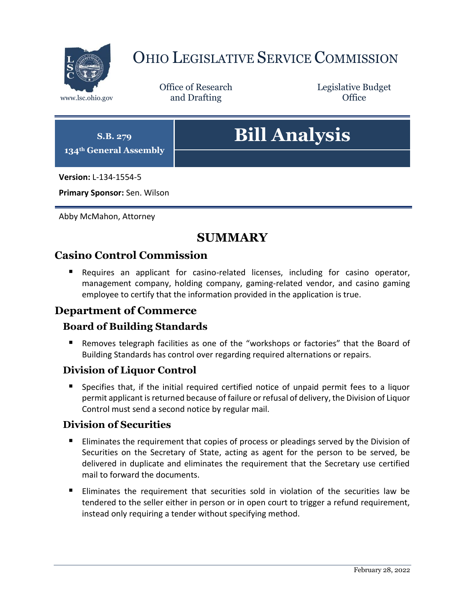

# OHIO LEGISLATIVE SERVICE COMMISSION

Office of Research www.lsc.ohio.gov **and Drafting Office** 

Legislative Budget

| <b>S.B. 279</b><br>134 <sup>th</sup> General Assembly | <b>Bill Analysis</b> |
|-------------------------------------------------------|----------------------|
| Version: L-134-1554-5                                 |                      |

**Primary Sponsor:** Sen. Wilson

Abby McMahon, Attorney

# **SUMMARY**

### **Casino Control Commission**

 Requires an applicant for casino-related licenses, including for casino operator, management company, holding company, gaming-related vendor, and casino gaming employee to certify that the information provided in the application is true.

#### **Department of Commerce**

#### **Board of Building Standards**

 Removes telegraph facilities as one of the "workshops or factories" that the Board of Building Standards has control over regarding required alternations or repairs.

#### **Division of Liquor Control**

 Specifies that, if the initial required certified notice of unpaid permit fees to a liquor permit applicant is returned because of failure or refusal of delivery, the Division of Liquor Control must send a second notice by regular mail.

#### **Division of Securities**

- **Eliminates the requirement that copies of process or pleadings served by the Division of** Securities on the Secretary of State, acting as agent for the person to be served, be delivered in duplicate and eliminates the requirement that the Secretary use certified mail to forward the documents.
- Eliminates the requirement that securities sold in violation of the securities law be tendered to the seller either in person or in open court to trigger a refund requirement, instead only requiring a tender without specifying method.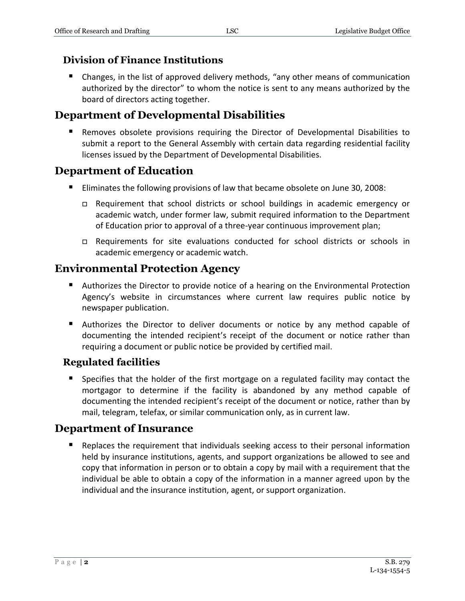### **Division of Finance Institutions**

 Changes, in the list of approved delivery methods, "any other means of communication authorized by the director" to whom the notice is sent to any means authorized by the board of directors acting together.

### **Department of Developmental Disabilities**

 Removes obsolete provisions requiring the Director of Developmental Disabilities to submit a report to the General Assembly with certain data regarding residential facility licenses issued by the Department of Developmental Disabilities.

### **Department of Education**

- Eliminates the following provisions of law that became obsolete on June 30, 2008:
	- Requirement that school districts or school buildings in academic emergency or academic watch, under former law, submit required information to the Department of Education prior to approval of a three-year continuous improvement plan;
	- Requirements for site evaluations conducted for school districts or schools in academic emergency or academic watch.

### **Environmental Protection Agency**

- Authorizes the Director to provide notice of a hearing on the Environmental Protection Agency's website in circumstances where current law requires public notice by newspaper publication.
- Authorizes the Director to deliver documents or notice by any method capable of documenting the intended recipient's receipt of the document or notice rather than requiring a document or public notice be provided by certified mail.

### **Regulated facilities**

 Specifies that the holder of the first mortgage on a regulated facility may contact the mortgagor to determine if the facility is abandoned by any method capable of documenting the intended recipient's receipt of the document or notice, rather than by mail, telegram, telefax, or similar communication only, as in current law.

### **Department of Insurance**

 Replaces the requirement that individuals seeking access to their personal information held by insurance institutions, agents, and support organizations be allowed to see and copy that information in person or to obtain a copy by mail with a requirement that the individual be able to obtain a copy of the information in a manner agreed upon by the individual and the insurance institution, agent, or support organization.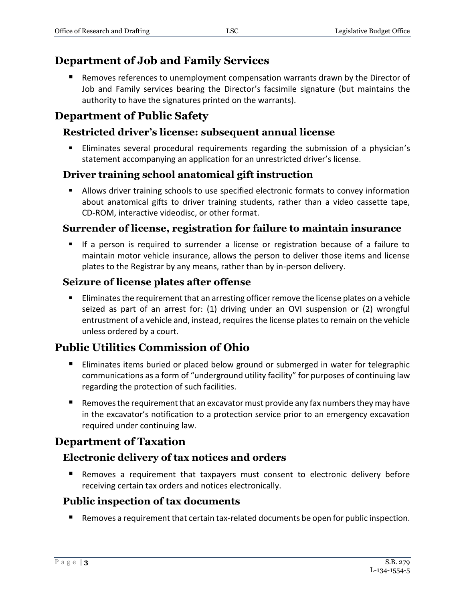### **Department of Job and Family Services**

 Removes references to unemployment compensation warrants drawn by the Director of Job and Family services bearing the Director's facsimile signature (but maintains the authority to have the signatures printed on the warrants).

### **Department of Public Safety**

#### **Restricted driver's license: subsequent annual license**

 Eliminates several procedural requirements regarding the submission of a physician's statement accompanying an application for an unrestricted driver's license.

#### **Driver training school anatomical gift instruction**

 Allows driver training schools to use specified electronic formats to convey information about anatomical gifts to driver training students, rather than a video cassette tape, CD-ROM, interactive videodisc, or other format.

#### **Surrender of license, registration for failure to maintain insurance**

If a person is required to surrender a license or registration because of a failure to maintain motor vehicle insurance, allows the person to deliver those items and license plates to the Registrar by any means, rather than by in-person delivery.

#### **Seizure of license plates after offense**

 Eliminates the requirement that an arresting officer remove the license plates on a vehicle seized as part of an arrest for: (1) driving under an OVI suspension or (2) wrongful entrustment of a vehicle and, instead, requires the license plates to remain on the vehicle unless ordered by a court.

### **Public Utilities Commission of Ohio**

- Eliminates items buried or placed below ground or submerged in water for telegraphic communications as a form of "underground utility facility" for purposes of continuing law regarding the protection of such facilities.
- **E** Removes the requirement that an excavator must provide any fax numbers they may have in the excavator's notification to a protection service prior to an emergency excavation required under continuing law.

### **Department of Taxation**

#### **Electronic delivery of tax notices and orders**

 Removes a requirement that taxpayers must consent to electronic delivery before receiving certain tax orders and notices electronically.

#### **Public inspection of tax documents**

Removes a requirement that certain tax-related documents be open for public inspection.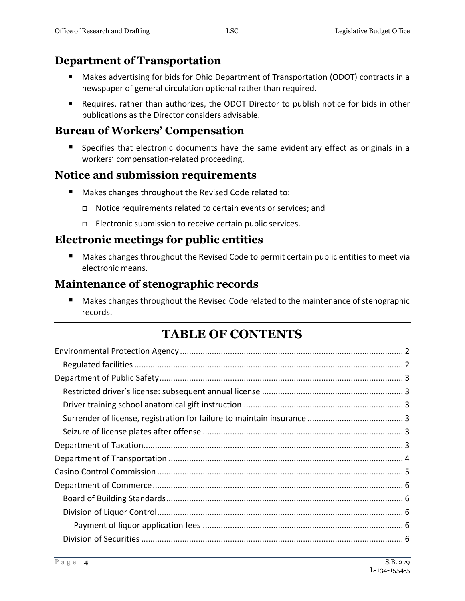### **Department of Transportation**

- Makes advertising for bids for Ohio Department of Transportation (ODOT) contracts in a newspaper of general circulation optional rather than required.
- Requires, rather than authorizes, the ODOT Director to publish notice for bids in other publications as the Director considers advisable.

### **Bureau of Workers' Compensation**

 Specifies that electronic documents have the same evidentiary effect as originals in a workers' compensation-related proceeding.

### **Notice and submission requirements**

- Makes changes throughout the Revised Code related to:
	- □ Notice requirements related to certain events or services; and
	- Electronic submission to receive certain public services.

### **Electronic meetings for public entities**

■ Makes changes throughout the Revised Code to permit certain public entities to meet via electronic means.

### **Maintenance of stenographic records**

 Makes changes throughout the Revised Code related to the maintenance of stenographic records.

# **TABLE OF CONTENTS**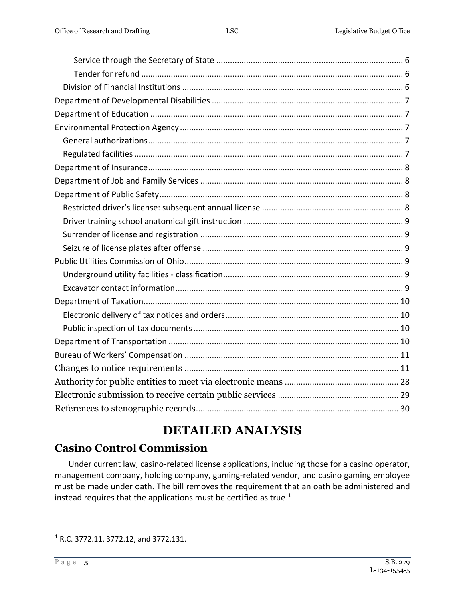# **DETAILED ANALYSIS**

### **Casino Control Commission**

Under current law, casino-related license applications, including those for a casino operator, management company, holding company, gaming-related vendor, and casino gaming employee must be made under oath. The bill removes the requirement that an oath be administered and instead requires that the applications must be certified as true.<sup>1</sup>

<sup>1</sup> R.C. 3772.11, 3772.12, and 3772.131.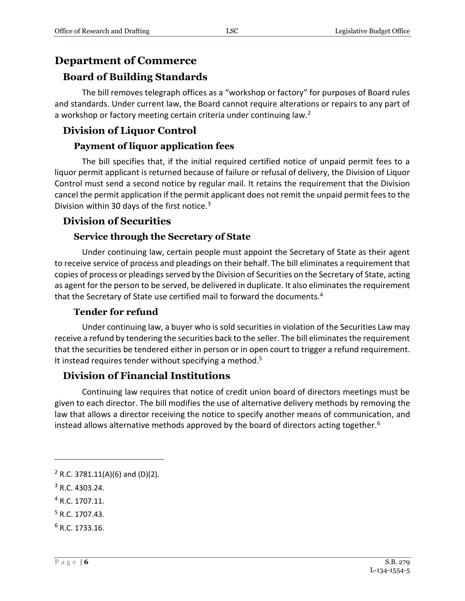### **Department of Commerce**

#### **Board of Building Standards**

The bill removes telegraph offices as a "workshop or factory" for purposes of Board rules and standards. Under current law, the Board cannot require alterations or repairs to any part of a workshop or factory meeting certain criteria under continuing law.<sup>2</sup>

#### **Division of Liquor Control**

#### **Payment of liquor application fees**

The bill specifies that, if the initial required certified notice of unpaid permit fees to a liquor permit applicant is returned because of failure or refusal of delivery, the Division of Liquor Control must send a second notice by regular mail. It retains the requirement that the Division cancel the permit application if the permit applicant does not remit the unpaid permit fees to the Division within 30 days of the first notice. $3$ 

#### **Division of Securities**

#### **Service through the Secretary of State**

Under continuing law, certain people must appoint the Secretary of State as their agent to receive service of process and pleadings on their behalf. The bill eliminates a requirement that copies of process or pleadings served by the Division of Securities on the Secretary of State, acting as agent for the person to be served, be delivered in duplicate. It also eliminates the requirement that the Secretary of State use certified mail to forward the documents.<sup>4</sup>

#### **Tender for refund**

Under continuing law, a buyer who is sold securities in violation of the Securities Law may receive a refund by tendering the securities back to the seller. The bill eliminates the requirement that the securities be tendered either in person or in open court to trigger a refund requirement. It instead requires tender without specifying a method.<sup>5</sup>

#### **Division of Financial Institutions**

Continuing law requires that notice of credit union board of directors meetings must be given to each director. The bill modifies the use of alternative delivery methods by removing the law that allows a director receiving the notice to specify another means of communication, and instead allows alternative methods approved by the board of directors acting together.<sup>6</sup>

 $\overline{a}$ 

<sup>4</sup> R.C. 1707.11.

 $6 R.C. 1733.16.$ 

 $2$  R.C. 3781.11(A)(6) and (D)(2).

<sup>3</sup> R.C. 4303.24.

<sup>5</sup> R.C. 1707.43.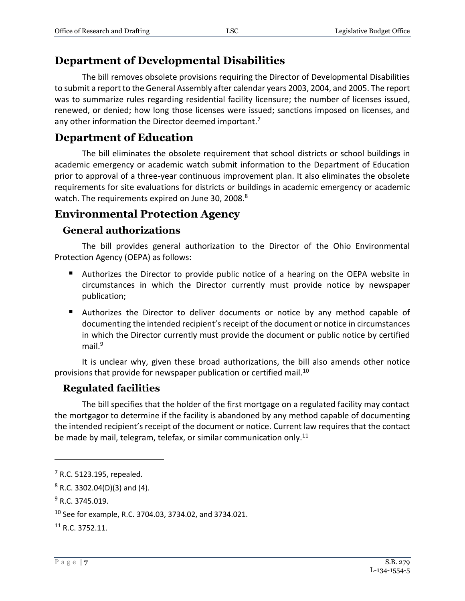#### **Department of Developmental Disabilities**

The bill removes obsolete provisions requiring the Director of Developmental Disabilities to submit a report to the General Assembly after calendar years 2003, 2004, and 2005. The report was to summarize rules regarding residential facility licensure; the number of licenses issued, renewed, or denied; how long those licenses were issued; sanctions imposed on licenses, and any other information the Director deemed important.<sup>7</sup>

### **Department of Education**

The bill eliminates the obsolete requirement that school districts or school buildings in academic emergency or academic watch submit information to the Department of Education prior to approval of a three-year continuous improvement plan. It also eliminates the obsolete requirements for site evaluations for districts or buildings in academic emergency or academic watch. The requirements expired on June 30, 2008.<sup>8</sup>

### **Environmental Protection Agency**

#### **General authorizations**

The bill provides general authorization to the Director of the Ohio Environmental Protection Agency (OEPA) as follows:

- Authorizes the Director to provide public notice of a hearing on the OEPA website in circumstances in which the Director currently must provide notice by newspaper publication;
- **Authorizes the Director to deliver documents or notice by any method capable of** documenting the intended recipient's receipt of the document or notice in circumstances in which the Director currently must provide the document or public notice by certified mail. $9$

It is unclear why, given these broad authorizations, the bill also amends other notice provisions that provide for newspaper publication or certified mail.<sup>10</sup>

#### **Regulated facilities**

The bill specifies that the holder of the first mortgage on a regulated facility may contact the mortgagor to determine if the facility is abandoned by any method capable of documenting the intended recipient's receipt of the document or notice. Current law requires that the contact be made by mail, telegram, telefax, or similar communication only.<sup>11</sup>

<sup>7</sup> R.C. 5123.195, repealed.

<sup>8</sup> R.C. 3302.04(D)(3) and (4).

 $9$  R.C. 3745.019.

<sup>10</sup> See for example, R.C. 3704.03, 3734.02, and 3734.021.

 $11$  R.C. 3752.11.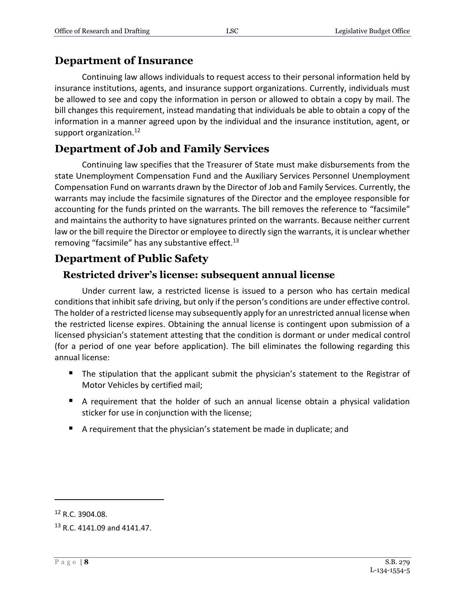#### **Department of Insurance**

Continuing law allows individuals to request access to their personal information held by insurance institutions, agents, and insurance support organizations. Currently, individuals must be allowed to see and copy the information in person or allowed to obtain a copy by mail. The bill changes this requirement, instead mandating that individuals be able to obtain a copy of the information in a manner agreed upon by the individual and the insurance institution, agent, or support organization.<sup>12</sup>

### **Department of Job and Family Services**

Continuing law specifies that the Treasurer of State must make disbursements from the state Unemployment Compensation Fund and the Auxiliary Services Personnel Unemployment Compensation Fund on warrants drawn by the Director of Job and Family Services. Currently, the warrants may include the facsimile signatures of the Director and the employee responsible for accounting for the funds printed on the warrants. The bill removes the reference to "facsimile" and maintains the authority to have signatures printed on the warrants. Because neither current law or the bill require the Director or employee to directly sign the warrants, it is unclear whether removing "facsimile" has any substantive effect.<sup>13</sup>

### **Department of Public Safety**

#### **Restricted driver's license: subsequent annual license**

Under current law, a restricted license is issued to a person who has certain medical conditions that inhibit safe driving, but only if the person's conditions are under effective control. The holder of a restricted license may subsequently apply for an unrestricted annual license when the restricted license expires. Obtaining the annual license is contingent upon submission of a licensed physician's statement attesting that the condition is dormant or under medical control (for a period of one year before application). The bill eliminates the following regarding this annual license:

- **The stipulation that the applicant submit the physician's statement to the Registrar of** Motor Vehicles by certified mail;
- A requirement that the holder of such an annual license obtain a physical validation sticker for use in conjunction with the license;
- A requirement that the physician's statement be made in duplicate; and

<sup>12</sup> R.C. 3904.08.

<sup>13</sup> R.C. 4141.09 and 4141.47.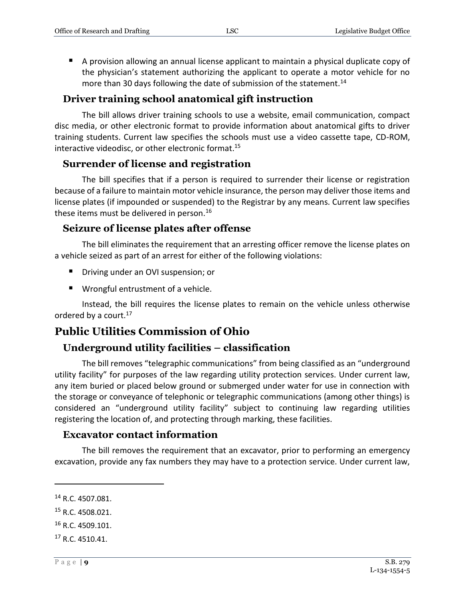A provision allowing an annual license applicant to maintain a physical duplicate copy of the physician's statement authorizing the applicant to operate a motor vehicle for no more than 30 days following the date of submission of the statement.<sup>14</sup>

#### **Driver training school anatomical gift instruction**

The bill allows driver training schools to use a website, email communication, compact disc media, or other electronic format to provide information about anatomical gifts to driver training students. Current law specifies the schools must use a video cassette tape, CD-ROM, interactive videodisc, or other electronic format.<sup>15</sup>

#### **Surrender of license and registration**

The bill specifies that if a person is required to surrender their license or registration because of a failure to maintain motor vehicle insurance, the person may deliver those items and license plates (if impounded or suspended) to the Registrar by any means. Current law specifies these items must be delivered in person.<sup>16</sup>

#### **Seizure of license plates after offense**

The bill eliminates the requirement that an arresting officer remove the license plates on a vehicle seized as part of an arrest for either of the following violations:

- **Driving under an OVI suspension; or**
- Wrongful entrustment of a vehicle.

Instead, the bill requires the license plates to remain on the vehicle unless otherwise ordered by a court.<sup>17</sup>

### **Public Utilities Commission of Ohio**

#### **Underground utility facilities – classification**

The bill removes "telegraphic communications" from being classified as an "underground utility facility" for purposes of the law regarding utility protection services. Under current law, any item buried or placed below ground or submerged under water for use in connection with the storage or conveyance of telephonic or telegraphic communications (among other things) is considered an "underground utility facility" subject to continuing law regarding utilities registering the location of, and protecting through marking, these facilities.

#### **Excavator contact information**

The bill removes the requirement that an excavator, prior to performing an emergency excavation, provide any fax numbers they may have to a protection service. Under current law,

- <sup>16</sup> R.C. 4509.101.
- <sup>17</sup> R.C. 4510.41.

<sup>14</sup> R.C. 4507.081.

<sup>&</sup>lt;sup>15</sup> R.C. 4508.021.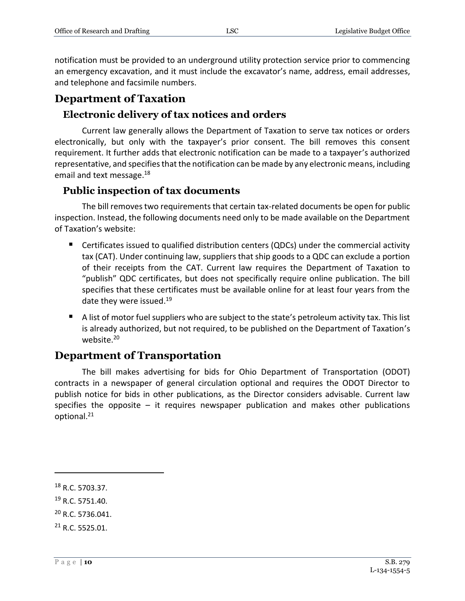notification must be provided to an underground utility protection service prior to commencing an emergency excavation, and it must include the excavator's name, address, email addresses, and telephone and facsimile numbers.

#### **Department of Taxation**

#### **Electronic delivery of tax notices and orders**

Current law generally allows the Department of Taxation to serve tax notices or orders electronically, but only with the taxpayer's prior consent. The bill removes this consent requirement. It further adds that electronic notification can be made to a taxpayer's authorized representative, and specifies that the notification can be made by any electronic means, including email and text message.<sup>18</sup>

#### **Public inspection of tax documents**

The bill removes two requirements that certain tax-related documents be open for public inspection. Instead, the following documents need only to be made available on the Department of Taxation's website:

- Certificates issued to qualified distribution centers (QDCs) under the commercial activity tax (CAT). Under continuing law, suppliers that ship goods to a QDC can exclude a portion of their receipts from the CAT. Current law requires the Department of Taxation to "publish" QDC certificates, but does not specifically require online publication. The bill specifies that these certificates must be available online for at least four years from the date they were issued.<sup>19</sup>
- A list of motor fuel suppliers who are subject to the state's petroleum activity tax. This list is already authorized, but not required, to be published on the Department of Taxation's website.<sup>20</sup>

#### **Department of Transportation**

The bill makes advertising for bids for Ohio Department of Transportation (ODOT) contracts in a newspaper of general circulation optional and requires the ODOT Director to publish notice for bids in other publications, as the Director considers advisable. Current law specifies the opposite  $-$  it requires newspaper publication and makes other publications optional.<sup>21</sup>

<sup>18</sup> R.C. 5703.37.

<sup>19</sup> R.C. 5751.40.

<sup>20</sup> R.C. 5736.041.

<sup>21</sup> R.C. 5525.01.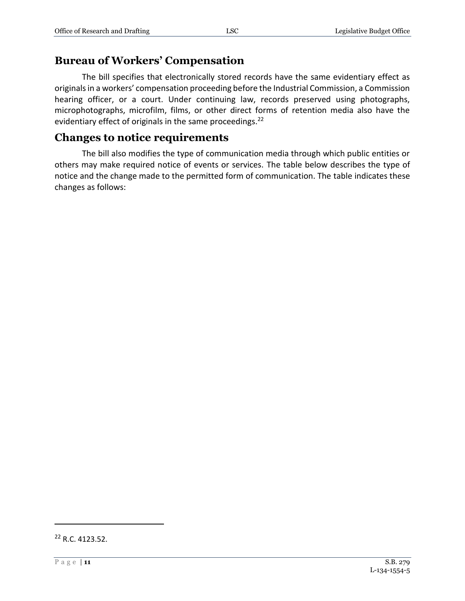### **Bureau of Workers' Compensation**

The bill specifies that electronically stored records have the same evidentiary effect as originals in a workers' compensation proceeding before the Industrial Commission, a Commission hearing officer, or a court. Under continuing law, records preserved using photographs, microphotographs, microfilm, films, or other direct forms of retention media also have the evidentiary effect of originals in the same proceedings.<sup>22</sup>

### **Changes to notice requirements**

The bill also modifies the type of communication media through which public entities or others may make required notice of events or services. The table below describes the type of notice and the change made to the permitted form of communication. The table indicates these changes as follows:

<sup>22</sup> R.C. 4123.52.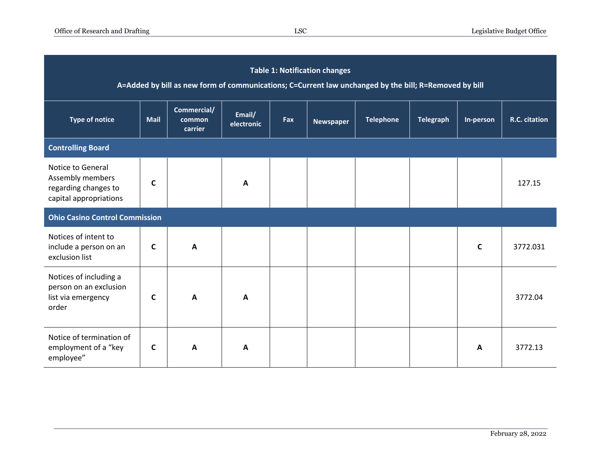| <b>Table 1: Notification changes</b><br>A=Added by bill as new form of communications; C=Current law unchanged by the bill; R=Removed by bill |             |                                  |                      |     |                  |                  |                  |              |               |  |  |  |
|-----------------------------------------------------------------------------------------------------------------------------------------------|-------------|----------------------------------|----------------------|-----|------------------|------------------|------------------|--------------|---------------|--|--|--|
| <b>Type of notice</b>                                                                                                                         | <b>Mail</b> | Commercial/<br>common<br>carrier | Email/<br>electronic | Fax | <b>Newspaper</b> | <b>Telephone</b> | <b>Telegraph</b> | In-person    | R.C. citation |  |  |  |
| <b>Controlling Board</b>                                                                                                                      |             |                                  |                      |     |                  |                  |                  |              |               |  |  |  |
| Notice to General<br>Assembly members<br>regarding changes to<br>capital appropriations                                                       | $\mathbf c$ |                                  | A                    |     |                  |                  |                  |              | 127.15        |  |  |  |
| <b>Ohio Casino Control Commission</b>                                                                                                         |             |                                  |                      |     |                  |                  |                  |              |               |  |  |  |
| Notices of intent to<br>include a person on an<br>exclusion list                                                                              | C           | A                                |                      |     |                  |                  |                  | $\mathsf{C}$ | 3772.031      |  |  |  |
| Notices of including a<br>person on an exclusion<br>list via emergency<br>order                                                               | C           | A                                | $\mathbf{A}$         |     |                  |                  |                  |              | 3772.04       |  |  |  |
| Notice of termination of<br>employment of a "key<br>employee"                                                                                 | C           | A                                | A                    |     |                  |                  |                  | A            | 3772.13       |  |  |  |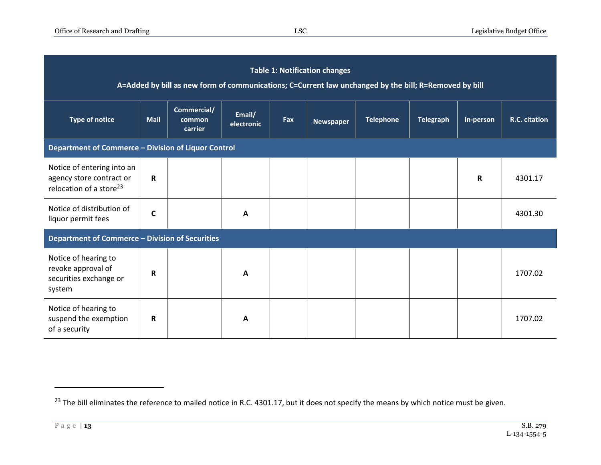| <b>Table 1: Notification changes</b><br>A=Added by bill as new form of communications; C=Current law unchanged by the bill; R=Removed by bill |             |                                  |                      |            |                  |                  |                  |           |               |  |  |  |
|-----------------------------------------------------------------------------------------------------------------------------------------------|-------------|----------------------------------|----------------------|------------|------------------|------------------|------------------|-----------|---------------|--|--|--|
| <b>Type of notice</b>                                                                                                                         | <b>Mail</b> | Commercial/<br>common<br>carrier | Email/<br>electronic | <b>Fax</b> | <b>Newspaper</b> | <b>Telephone</b> | <b>Telegraph</b> | In-person | R.C. citation |  |  |  |
| Department of Commerce - Division of Liquor Control                                                                                           |             |                                  |                      |            |                  |                  |                  |           |               |  |  |  |
| Notice of entering into an<br>agency store contract or<br>relocation of a store <sup>23</sup>                                                 | R           |                                  |                      |            |                  |                  |                  | R         | 4301.17       |  |  |  |
| Notice of distribution of<br>liquor permit fees                                                                                               | C           |                                  | A                    |            |                  |                  |                  |           | 4301.30       |  |  |  |
| Department of Commerce - Division of Securities                                                                                               |             |                                  |                      |            |                  |                  |                  |           |               |  |  |  |
| Notice of hearing to<br>revoke approval of<br>securities exchange or<br>system                                                                | R           |                                  | A                    |            |                  |                  |                  |           | 1707.02       |  |  |  |
| Notice of hearing to<br>suspend the exemption<br>of a security                                                                                | R           |                                  | A                    |            |                  |                  |                  |           | 1707.02       |  |  |  |

 $^{23}$  The bill eliminates the reference to mailed notice in R.C. 4301.17, but it does not specify the means by which notice must be given.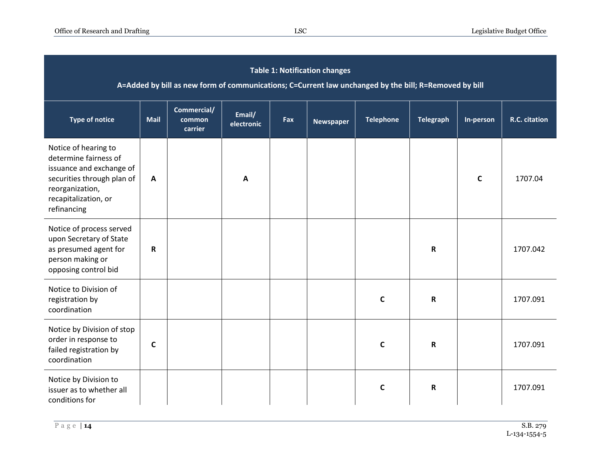| <b>Table 1: Notification changes</b><br>A=Added by bill as new form of communications; C=Current law unchanged by the bill; R=Removed by bill                     |              |                                  |                      |     |                  |                  |                  |              |               |  |  |
|-------------------------------------------------------------------------------------------------------------------------------------------------------------------|--------------|----------------------------------|----------------------|-----|------------------|------------------|------------------|--------------|---------------|--|--|
| <b>Type of notice</b>                                                                                                                                             | <b>Mail</b>  | Commercial/<br>common<br>carrier | Email/<br>electronic | Fax | <b>Newspaper</b> | <b>Telephone</b> | <b>Telegraph</b> | In-person    | R.C. citation |  |  |
| Notice of hearing to<br>determine fairness of<br>issuance and exchange of<br>securities through plan of<br>reorganization,<br>recapitalization, or<br>refinancing | $\mathbf{A}$ |                                  | $\mathbf{A}$         |     |                  |                  |                  | $\mathsf{C}$ | 1707.04       |  |  |
| Notice of process served<br>upon Secretary of State<br>as presumed agent for<br>person making or<br>opposing control bid                                          | R            |                                  |                      |     |                  |                  | $\mathsf R$      |              | 1707.042      |  |  |
| Notice to Division of<br>registration by<br>coordination                                                                                                          |              |                                  |                      |     |                  | $\mathbf c$      | $\mathbf R$      |              | 1707.091      |  |  |
| Notice by Division of stop<br>order in response to<br>failed registration by<br>coordination                                                                      | $\mathbf c$  |                                  |                      |     |                  | C                | R                |              | 1707.091      |  |  |
| Notice by Division to<br>issuer as to whether all<br>conditions for                                                                                               |              |                                  |                      |     |                  | $\mathbf c$      | $\mathsf R$      |              | 1707.091      |  |  |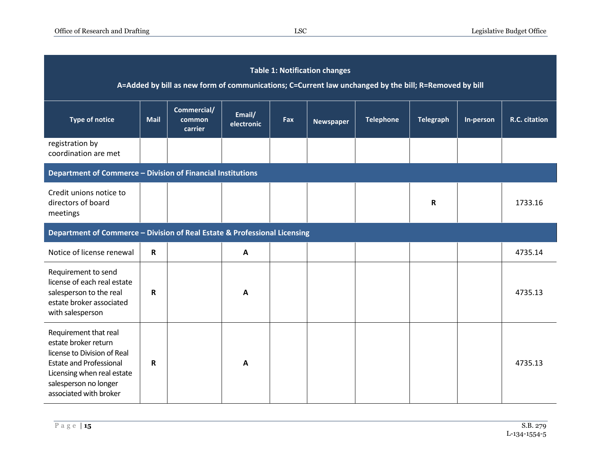| <b>Table 1: Notification changes</b><br>A=Added by bill as new form of communications; C=Current law unchanged by the bill; R=Removed by bill                                                   |             |                                  |                      |     |                  |                  |                  |           |               |  |  |
|-------------------------------------------------------------------------------------------------------------------------------------------------------------------------------------------------|-------------|----------------------------------|----------------------|-----|------------------|------------------|------------------|-----------|---------------|--|--|
| <b>Type of notice</b>                                                                                                                                                                           | <b>Mail</b> | Commercial/<br>common<br>carrier | Email/<br>electronic | Fax | <b>Newspaper</b> | <b>Telephone</b> | <b>Telegraph</b> | In-person | R.C. citation |  |  |
| registration by<br>coordination are met                                                                                                                                                         |             |                                  |                      |     |                  |                  |                  |           |               |  |  |
| Department of Commerce - Division of Financial Institutions                                                                                                                                     |             |                                  |                      |     |                  |                  |                  |           |               |  |  |
| Credit unions notice to<br>directors of board<br>meetings                                                                                                                                       |             |                                  |                      |     |                  |                  | R                |           | 1733.16       |  |  |
| Department of Commerce - Division of Real Estate & Professional Licensing                                                                                                                       |             |                                  |                      |     |                  |                  |                  |           |               |  |  |
| Notice of license renewal                                                                                                                                                                       | R           |                                  | $\mathbf{A}$         |     |                  |                  |                  |           | 4735.14       |  |  |
| Requirement to send<br>license of each real estate<br>salesperson to the real<br>estate broker associated<br>with salesperson                                                                   | R           |                                  | A                    |     |                  |                  |                  |           | 4735.13       |  |  |
| Requirement that real<br>estate broker return<br>license to Division of Real<br><b>Estate and Professional</b><br>Licensing when real estate<br>salesperson no longer<br>associated with broker | R           |                                  | A                    |     |                  |                  |                  |           | 4735.13       |  |  |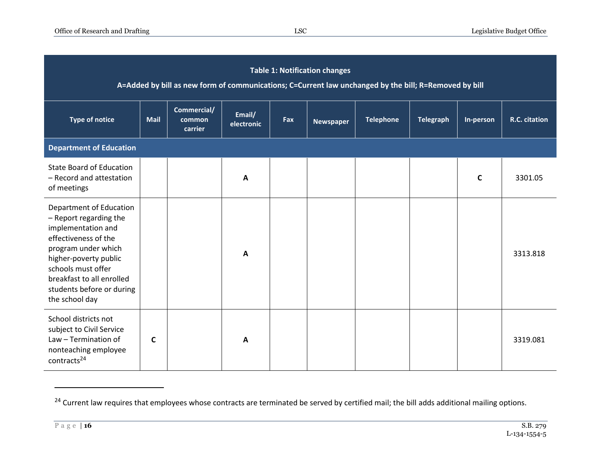| <b>Table 1: Notification changes</b><br>A=Added by bill as new form of communications; C=Current law unchanged by the bill; R=Removed by bill                                                                                                     |      |                                  |                      |     |                  |                  |                  |              |               |  |  |
|---------------------------------------------------------------------------------------------------------------------------------------------------------------------------------------------------------------------------------------------------|------|----------------------------------|----------------------|-----|------------------|------------------|------------------|--------------|---------------|--|--|
| <b>Type of notice</b>                                                                                                                                                                                                                             | Mail | Commercial/<br>common<br>carrier | Email/<br>electronic | Fax | <b>Newspaper</b> | <b>Telephone</b> | <b>Telegraph</b> | In-person    | R.C. citation |  |  |
| <b>Department of Education</b>                                                                                                                                                                                                                    |      |                                  |                      |     |                  |                  |                  |              |               |  |  |
| <b>State Board of Education</b><br>- Record and attestation<br>of meetings                                                                                                                                                                        |      |                                  | A                    |     |                  |                  |                  | $\mathsf{C}$ | 3301.05       |  |  |
| Department of Education<br>- Report regarding the<br>implementation and<br>effectiveness of the<br>program under which<br>higher-poverty public<br>schools must offer<br>breakfast to all enrolled<br>students before or during<br>the school day |      |                                  | $\mathbf{A}$         |     |                  |                  |                  |              | 3313.818      |  |  |
| School districts not<br>subject to Civil Service<br>Law - Termination of<br>nonteaching employee<br>contracts <sup>24</sup>                                                                                                                       | C    |                                  | A                    |     |                  |                  |                  |              | 3319.081      |  |  |

<sup>&</sup>lt;sup>24</sup> Current law requires that employees whose contracts are terminated be served by certified mail; the bill adds additional mailing options.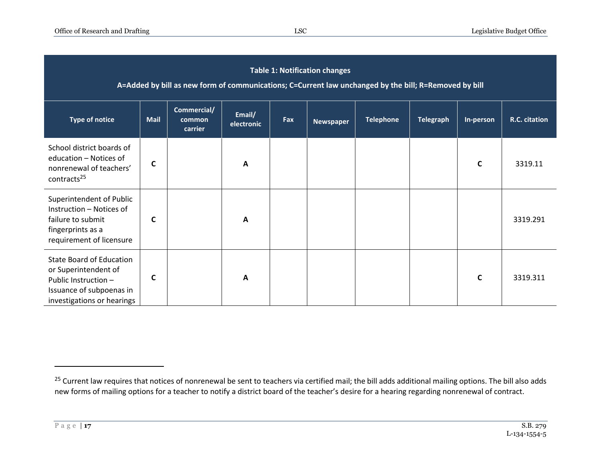| <b>Table 1: Notification changes</b><br>A=Added by bill as new form of communications; C=Current law unchanged by the bill; R=Removed by bill |              |                                  |                      |            |                  |                  |                  |              |               |  |  |
|-----------------------------------------------------------------------------------------------------------------------------------------------|--------------|----------------------------------|----------------------|------------|------------------|------------------|------------------|--------------|---------------|--|--|
| <b>Type of notice</b>                                                                                                                         | <b>Mail</b>  | Commercial/<br>common<br>carrier | Email/<br>electronic | <b>Fax</b> | <b>Newspaper</b> | <b>Telephone</b> | <b>Telegraph</b> | In-person    | R.C. citation |  |  |
| School district boards of<br>education - Notices of<br>nonrenewal of teachers'<br>contracts <sup>25</sup>                                     | C            |                                  | $\mathbf{A}$         |            |                  |                  |                  | $\mathsf{C}$ | 3319.11       |  |  |
| Superintendent of Public<br>Instruction - Notices of<br>failure to submit<br>fingerprints as a<br>requirement of licensure                    | $\mathbf{C}$ |                                  | $\mathbf{A}$         |            |                  |                  |                  |              | 3319.291      |  |  |
| <b>State Board of Education</b><br>or Superintendent of<br>Public Instruction -<br>Issuance of subpoenas in<br>investigations or hearings     | C            |                                  | $\mathbf{A}$         |            |                  |                  |                  | $\mathsf{C}$ | 3319.311      |  |  |

<sup>&</sup>lt;sup>25</sup> Current law requires that notices of nonrenewal be sent to teachers via certified mail; the bill adds additional mailing options. The bill also adds new forms of mailing options for a teacher to notify a district board of the teacher's desire for a hearing regarding nonrenewal of contract.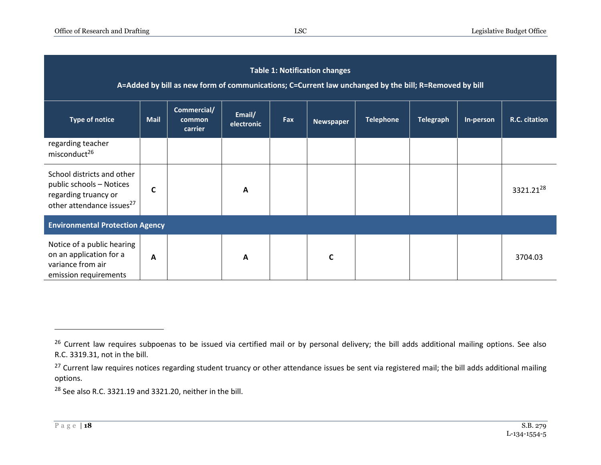| <b>Table 1: Notification changes</b><br>A=Added by bill as new form of communications; C=Current law unchanged by the bill; R=Removed by bill |              |                                  |                      |     |                  |                  |                  |           |                       |  |  |  |
|-----------------------------------------------------------------------------------------------------------------------------------------------|--------------|----------------------------------|----------------------|-----|------------------|------------------|------------------|-----------|-----------------------|--|--|--|
| <b>Type of notice</b>                                                                                                                         | <b>Mail</b>  | Commercial/<br>common<br>carrier | Email/<br>electronic | Fax | <b>Newspaper</b> | <b>Telephone</b> | <b>Telegraph</b> | In-person | R.C. citation         |  |  |  |
| regarding teacher<br>misconduct <sup>26</sup>                                                                                                 |              |                                  |                      |     |                  |                  |                  |           |                       |  |  |  |
| School districts and other<br>public schools - Notices<br>regarding truancy or<br>other attendance issues <sup>27</sup>                       | C            |                                  | A                    |     |                  |                  |                  |           | 3321.21 <sup>28</sup> |  |  |  |
| <b>Environmental Protection Agency</b>                                                                                                        |              |                                  |                      |     |                  |                  |                  |           |                       |  |  |  |
| Notice of a public hearing<br>on an application for a<br>variance from air<br>emission requirements                                           | $\mathbf{A}$ |                                  | $\mathbf{A}$         |     |                  |                  |                  |           | 3704.03               |  |  |  |

<sup>28</sup> See also R.C. 3321.19 and 3321.20, neither in the bill.

<sup>&</sup>lt;sup>26</sup> Current law requires subpoenas to be issued via certified mail or by personal delivery; the bill adds additional mailing options. See also R.C. 3319.31, not in the bill.

<sup>&</sup>lt;sup>27</sup> Current law requires notices regarding student truancy or other attendance issues be sent via registered mail; the bill adds additional mailing options.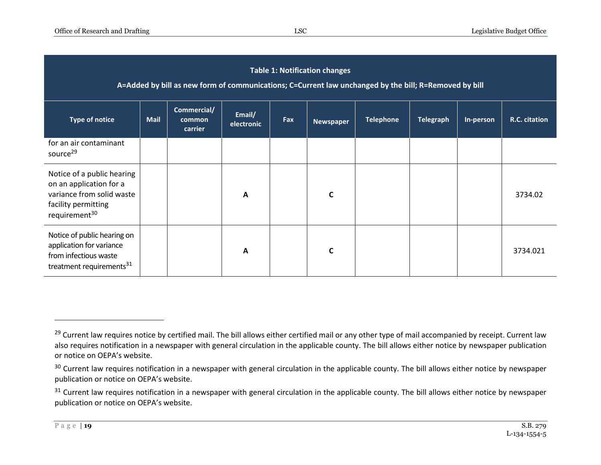| <b>Table 1: Notification changes</b><br>A=Added by bill as new form of communications; C=Current law unchanged by the bill; R=Removed by bill |             |                                  |                      |     |                  |                  |                  |           |               |  |  |
|-----------------------------------------------------------------------------------------------------------------------------------------------|-------------|----------------------------------|----------------------|-----|------------------|------------------|------------------|-----------|---------------|--|--|
| <b>Type of notice</b>                                                                                                                         | <b>Mail</b> | Commercial/<br>common<br>carrier | Email/<br>electronic | Fax | <b>Newspaper</b> | <b>Telephone</b> | <b>Telegraph</b> | In-person | R.C. citation |  |  |
| for an air contaminant<br>source <sup>29</sup>                                                                                                |             |                                  |                      |     |                  |                  |                  |           |               |  |  |
| Notice of a public hearing<br>on an application for a<br>variance from solid waste<br>facility permitting<br>requirement <sup>30</sup>        |             |                                  | A                    |     | $\mathsf{C}$     |                  |                  |           | 3734.02       |  |  |
| Notice of public hearing on<br>application for variance<br>from infectious waste<br>treatment requirements <sup>31</sup>                      |             |                                  | $\mathbf{A}$         |     |                  |                  |                  |           | 3734.021      |  |  |

<sup>&</sup>lt;sup>29</sup> Current law requires notice by certified mail. The bill allows either certified mail or any other type of mail accompanied by receipt. Current law also requires notification in a newspaper with general circulation in the applicable county. The bill allows either notice by newspaper publication or notice on OEPA's website.

<sup>&</sup>lt;sup>30</sup> Current law requires notification in a newspaper with general circulation in the applicable county. The bill allows either notice by newspaper publication or notice on OEPA's website.

<sup>&</sup>lt;sup>31</sup> Current law requires notification in a newspaper with general circulation in the applicable county. The bill allows either notice by newspaper publication or notice on OEPA's website.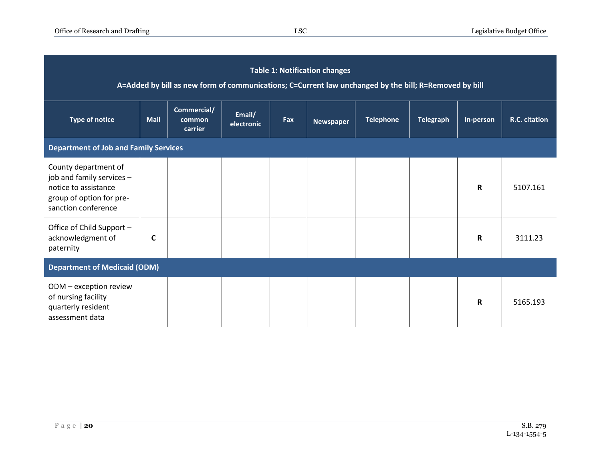| <b>Table 1: Notification changes</b><br>A=Added by bill as new form of communications; C=Current law unchanged by the bill; R=Removed by bill |                                              |                                  |                      |     |                  |                  |                  |             |               |  |
|-----------------------------------------------------------------------------------------------------------------------------------------------|----------------------------------------------|----------------------------------|----------------------|-----|------------------|------------------|------------------|-------------|---------------|--|
| <b>Type of notice</b>                                                                                                                         | <b>Mail</b>                                  | Commercial/<br>common<br>carrier | Email/<br>electronic | Fax | <b>Newspaper</b> | <b>Telephone</b> | <b>Telegraph</b> | In-person   | R.C. citation |  |
|                                                                                                                                               | <b>Department of Job and Family Services</b> |                                  |                      |     |                  |                  |                  |             |               |  |
| County department of<br>job and family services -<br>notice to assistance<br>group of option for pre-<br>sanction conference                  |                                              |                                  |                      |     |                  |                  |                  | R           | 5107.161      |  |
| Office of Child Support -<br>acknowledgment of<br>paternity                                                                                   | C                                            |                                  |                      |     |                  |                  |                  | R           | 3111.23       |  |
| <b>Department of Medicaid (ODM)</b>                                                                                                           |                                              |                                  |                      |     |                  |                  |                  |             |               |  |
| ODM - exception review<br>of nursing facility<br>quarterly resident<br>assessment data                                                        |                                              |                                  |                      |     |                  |                  |                  | $\mathbf R$ | 5165.193      |  |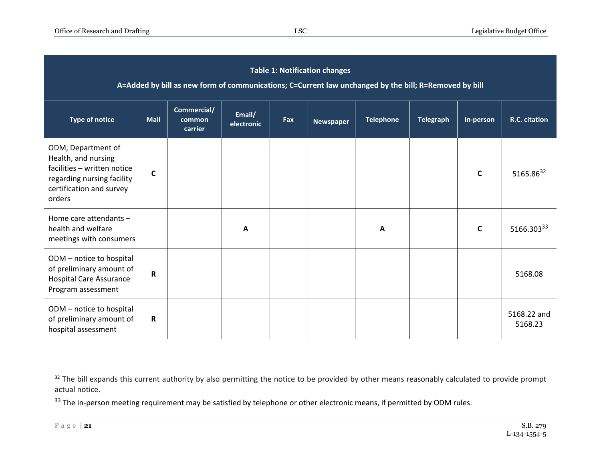| <b>Table 1: Notification changes</b><br>A=Added by bill as new form of communications; C=Current law unchanged by the bill; R=Removed by bill |             |                                  |                      |     |                  |                  |                  |              |                        |
|-----------------------------------------------------------------------------------------------------------------------------------------------|-------------|----------------------------------|----------------------|-----|------------------|------------------|------------------|--------------|------------------------|
| <b>Type of notice</b>                                                                                                                         | Mail        | Commercial/<br>common<br>carrier | Email/<br>electronic | Fax | <b>Newspaper</b> | <b>Telephone</b> | <b>Telegraph</b> | In-person    | R.C. citation          |
| ODM, Department of<br>Health, and nursing<br>facilities - written notice<br>regarding nursing facility<br>certification and survey<br>orders  | C           |                                  |                      |     |                  |                  |                  | $\mathsf{C}$ | 5165.8632              |
| Home care attendants -<br>health and welfare<br>meetings with consumers                                                                       |             |                                  | $\mathbf{A}$         |     |                  | A                |                  | C            | 5166.30333             |
| ODM - notice to hospital<br>of preliminary amount of<br><b>Hospital Care Assurance</b><br>Program assessment                                  | $\mathbf R$ |                                  |                      |     |                  |                  |                  |              | 5168.08                |
| ODM - notice to hospital<br>of preliminary amount of<br>hospital assessment                                                                   | R           |                                  |                      |     |                  |                  |                  |              | 5168.22 and<br>5168.23 |

<sup>&</sup>lt;sup>32</sup> The bill expands this current authority by also permitting the notice to be provided by other means reasonably calculated to provide prompt actual notice.

<sup>&</sup>lt;sup>33</sup> The in-person meeting requirement may be satisfied by telephone or other electronic means, if permitted by ODM rules.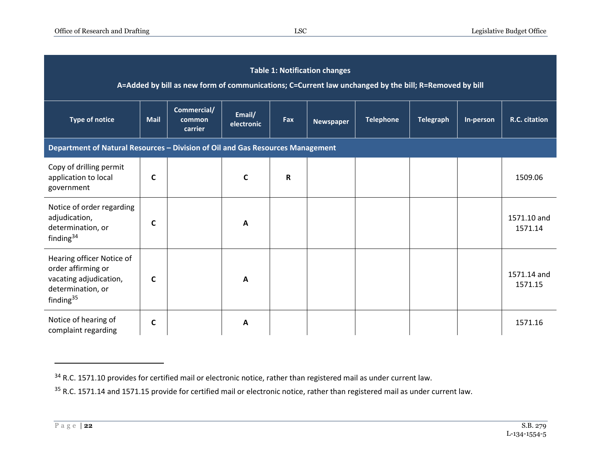| <b>Table 1: Notification changes</b><br>A=Added by bill as new form of communications; C=Current law unchanged by the bill; R=Removed by bill |              |                                  |                      |             |                  |                  |                  |           |                        |
|-----------------------------------------------------------------------------------------------------------------------------------------------|--------------|----------------------------------|----------------------|-------------|------------------|------------------|------------------|-----------|------------------------|
| <b>Type of notice</b>                                                                                                                         | <b>Mail</b>  | Commercial/<br>common<br>carrier | Email/<br>electronic | Fax         | <b>Newspaper</b> | <b>Telephone</b> | <b>Telegraph</b> | In-person | R.C. citation          |
| Department of Natural Resources - Division of Oil and Gas Resources Management                                                                |              |                                  |                      |             |                  |                  |                  |           |                        |
| Copy of drilling permit<br>application to local<br>government                                                                                 | C            |                                  | $\mathsf{C}$         | $\mathbf R$ |                  |                  |                  |           | 1509.06                |
| Notice of order regarding<br>adjudication,<br>determination, or<br>finding $34$                                                               | C            |                                  | A                    |             |                  |                  |                  |           | 1571.10 and<br>1571.14 |
| Hearing officer Notice of<br>order affirming or<br>vacating adjudication,<br>determination, or<br>finding <sup>35</sup>                       | $\mathsf{C}$ |                                  | A                    |             |                  |                  |                  |           | 1571.14 and<br>1571.15 |
| Notice of hearing of<br>complaint regarding                                                                                                   | C            |                                  | A                    |             |                  |                  |                  |           | 1571.16                |

<sup>&</sup>lt;sup>34</sup> R.C. 1571.10 provides for certified mail or electronic notice, rather than registered mail as under current law.

<sup>&</sup>lt;sup>35</sup> R.C. 1571.14 and 1571.15 provide for certified mail or electronic notice, rather than registered mail as under current law.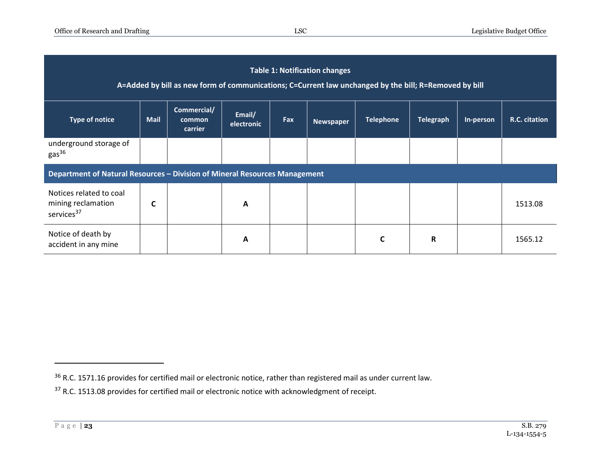| <b>Table 1: Notification changes</b><br>A=Added by bill as new form of communications; C=Current law unchanged by the bill; R=Removed by bill |             |                                  |                      |     |                  |                  |                  |           |               |
|-----------------------------------------------------------------------------------------------------------------------------------------------|-------------|----------------------------------|----------------------|-----|------------------|------------------|------------------|-----------|---------------|
| <b>Type of notice</b>                                                                                                                         | <b>Mail</b> | Commercial/<br>common<br>carrier | Email/<br>electronic | Fax | <b>Newspaper</b> | <b>Telephone</b> | <b>Telegraph</b> | In-person | R.C. citation |
| underground storage of<br>gas <sup>36</sup>                                                                                                   |             |                                  |                      |     |                  |                  |                  |           |               |
| Department of Natural Resources - Division of Mineral Resources Management                                                                    |             |                                  |                      |     |                  |                  |                  |           |               |
| Notices related to coal<br>mining reclamation<br>services <sup>37</sup>                                                                       | C           |                                  | A                    |     |                  |                  |                  |           | 1513.08       |
| Notice of death by<br>accident in any mine                                                                                                    |             |                                  | A                    |     |                  |                  | R                |           | 1565.12       |

<sup>&</sup>lt;sup>36</sup> R.C. 1571.16 provides for certified mail or electronic notice, rather than registered mail as under current law.

<sup>&</sup>lt;sup>37</sup> R.C. 1513.08 provides for certified mail or electronic notice with acknowledgment of receipt.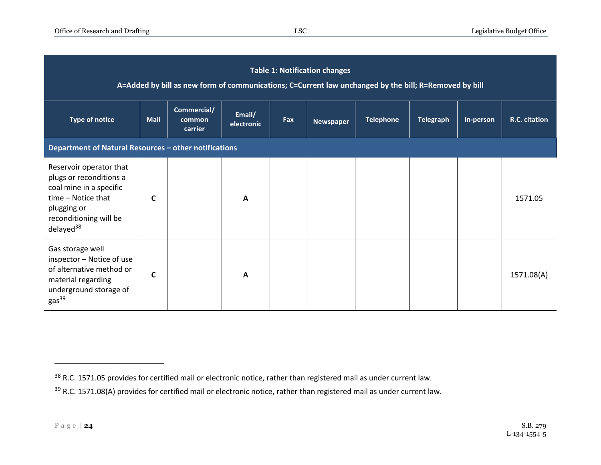| <b>Table 1: Notification changes</b><br>A=Added by bill as new form of communications; C=Current law unchanged by the bill; R=Removed by bill                         |             |                                  |                      |     |                  |                  |                  |           |               |
|-----------------------------------------------------------------------------------------------------------------------------------------------------------------------|-------------|----------------------------------|----------------------|-----|------------------|------------------|------------------|-----------|---------------|
| <b>Type of notice</b>                                                                                                                                                 | <b>Mail</b> | Commercial/<br>common<br>carrier | Email/<br>electronic | Fax | <b>Newspaper</b> | <b>Telephone</b> | <b>Telegraph</b> | In-person | R.C. citation |
| Department of Natural Resources - other notifications                                                                                                                 |             |                                  |                      |     |                  |                  |                  |           |               |
| Reservoir operator that<br>plugs or reconditions a<br>coal mine in a specific<br>time - Notice that<br>plugging or<br>reconditioning will be<br>delayed <sup>38</sup> | C           |                                  | A                    |     |                  |                  |                  |           | 1571.05       |
| Gas storage well<br>inspector - Notice of use<br>of alternative method or<br>material regarding<br>underground storage of<br>gas <sup>39</sup>                        | C           |                                  | A                    |     |                  |                  |                  |           | 1571.08(A)    |

<sup>&</sup>lt;sup>38</sup> R.C. 1571.05 provides for certified mail or electronic notice, rather than registered mail as under current law.

<sup>&</sup>lt;sup>39</sup> R.C. 1571.08(A) provides for certified mail or electronic notice, rather than registered mail as under current law.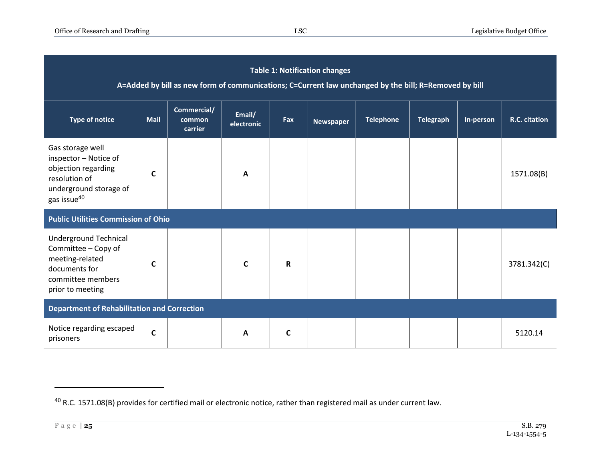| <b>Table 1: Notification changes</b><br>A=Added by bill as new form of communications; C=Current law unchanged by the bill; R=Removed by bill |                                            |                                  |                      |             |                  |                  |                  |           |               |
|-----------------------------------------------------------------------------------------------------------------------------------------------|--------------------------------------------|----------------------------------|----------------------|-------------|------------------|------------------|------------------|-----------|---------------|
| <b>Type of notice</b>                                                                                                                         | <b>Mail</b>                                | Commercial/<br>common<br>carrier | Email/<br>electronic | Fax         | <b>Newspaper</b> | <b>Telephone</b> | <b>Telegraph</b> | In-person | R.C. citation |
| Gas storage well<br>inspector - Notice of<br>objection regarding<br>resolution of<br>underground storage of<br>gas issue <sup>40</sup>        | C                                          |                                  | A                    |             |                  |                  |                  |           | 1571.08(B)    |
|                                                                                                                                               | <b>Public Utilities Commission of Ohio</b> |                                  |                      |             |                  |                  |                  |           |               |
| <b>Underground Technical</b><br>Committee - Copy of<br>meeting-related<br>documents for<br>committee members<br>prior to meeting              | C                                          |                                  | $\mathsf{C}$         | R           |                  |                  |                  |           | 3781.342(C)   |
| <b>Department of Rehabilitation and Correction</b>                                                                                            |                                            |                                  |                      |             |                  |                  |                  |           |               |
| Notice regarding escaped<br>prisoners                                                                                                         | $\mathsf{C}$                               |                                  | A                    | $\mathbf c$ |                  |                  |                  |           | 5120.14       |

<sup>40</sup> R.C. 1571.08(B) provides for certified mail or electronic notice, rather than registered mail as under current law.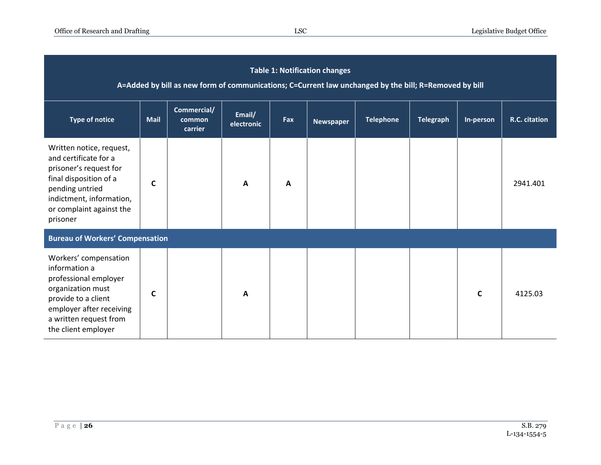| <b>Table 1: Notification changes</b><br>A=Added by bill as new form of communications; C=Current law unchanged by the bill; R=Removed by bill                                                |             |                                  |                      |     |                  |                  |                  |              |               |
|----------------------------------------------------------------------------------------------------------------------------------------------------------------------------------------------|-------------|----------------------------------|----------------------|-----|------------------|------------------|------------------|--------------|---------------|
| <b>Type of notice</b>                                                                                                                                                                        | <b>Mail</b> | Commercial/<br>common<br>carrier | Email/<br>electronic | Fax | <b>Newspaper</b> | <b>Telephone</b> | <b>Telegraph</b> | In-person    | R.C. citation |
| Written notice, request,<br>and certificate for a<br>prisoner's request for<br>final disposition of a<br>pending untried<br>indictment, information,<br>or complaint against the<br>prisoner | C           |                                  | A                    | A   |                  |                  |                  |              | 2941.401      |
| <b>Bureau of Workers' Compensation</b>                                                                                                                                                       |             |                                  |                      |     |                  |                  |                  |              |               |
| Workers' compensation<br>information a<br>professional employer<br>organization must<br>provide to a client<br>employer after receiving<br>a written request from<br>the client employer     | C           |                                  | A                    |     |                  |                  |                  | $\mathsf{C}$ | 4125.03       |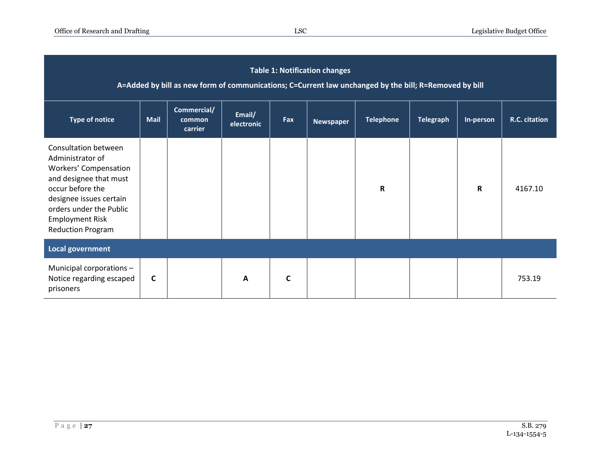| <b>Table 1: Notification changes</b><br>A=Added by bill as new form of communications; C=Current law unchanged by the bill; R=Removed by bill                                                                                      |             |                                  |                      |     |                  |                  |                  |              |               |
|------------------------------------------------------------------------------------------------------------------------------------------------------------------------------------------------------------------------------------|-------------|----------------------------------|----------------------|-----|------------------|------------------|------------------|--------------|---------------|
| <b>Type of notice</b>                                                                                                                                                                                                              | <b>Mail</b> | Commercial/<br>common<br>carrier | Email/<br>electronic | Fax | <b>Newspaper</b> | <b>Telephone</b> | <b>Telegraph</b> | In-person    | R.C. citation |
| Consultation between<br>Administrator of<br><b>Workers' Compensation</b><br>and designee that must<br>occur before the<br>designee issues certain<br>orders under the Public<br><b>Employment Risk</b><br><b>Reduction Program</b> |             |                                  |                      |     |                  | $\mathsf R$      |                  | $\mathsf{R}$ | 4167.10       |
| <b>Local government</b>                                                                                                                                                                                                            |             |                                  |                      |     |                  |                  |                  |              |               |
| Municipal corporations -<br>Notice regarding escaped<br>prisoners                                                                                                                                                                  | C           |                                  | A                    | C   |                  |                  |                  |              | 753.19        |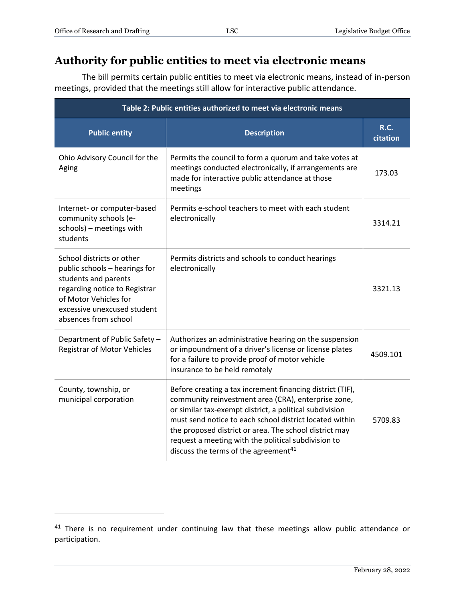### **Authority for public entities to meet via electronic means**

The bill permits certain public entities to meet via electronic means, instead of in-person meetings, provided that the meetings still allow for interactive public attendance.

| Table 2: Public entities authorized to meet via electronic means                                                                                                                                    |                                                                                                                                                                                                                                                                                                                                                                                                             |                         |  |  |  |  |  |
|-----------------------------------------------------------------------------------------------------------------------------------------------------------------------------------------------------|-------------------------------------------------------------------------------------------------------------------------------------------------------------------------------------------------------------------------------------------------------------------------------------------------------------------------------------------------------------------------------------------------------------|-------------------------|--|--|--|--|--|
| <b>Public entity</b>                                                                                                                                                                                | <b>Description</b>                                                                                                                                                                                                                                                                                                                                                                                          | <b>R.C.</b><br>citation |  |  |  |  |  |
| Ohio Advisory Council for the<br>Aging                                                                                                                                                              | Permits the council to form a quorum and take votes at<br>meetings conducted electronically, if arrangements are<br>made for interactive public attendance at those<br>meetings                                                                                                                                                                                                                             | 173.03                  |  |  |  |  |  |
| Internet- or computer-based<br>community schools (e-<br>schools) - meetings with<br>students                                                                                                        | Permits e-school teachers to meet with each student<br>electronically                                                                                                                                                                                                                                                                                                                                       | 3314.21                 |  |  |  |  |  |
| School districts or other<br>public schools - hearings for<br>students and parents<br>regarding notice to Registrar<br>of Motor Vehicles for<br>excessive unexcused student<br>absences from school | Permits districts and schools to conduct hearings<br>electronically                                                                                                                                                                                                                                                                                                                                         | 3321.13                 |  |  |  |  |  |
| Department of Public Safety -<br><b>Registrar of Motor Vehicles</b>                                                                                                                                 | Authorizes an administrative hearing on the suspension<br>or impoundment of a driver's license or license plates<br>for a failure to provide proof of motor vehicle<br>insurance to be held remotely                                                                                                                                                                                                        | 4509.101                |  |  |  |  |  |
| County, township, or<br>municipal corporation                                                                                                                                                       | Before creating a tax increment financing district (TIF),<br>community reinvestment area (CRA), enterprise zone,<br>or similar tax-exempt district, a political subdivision<br>must send notice to each school district located within<br>the proposed district or area. The school district may<br>request a meeting with the political subdivision to<br>discuss the terms of the agreement <sup>41</sup> | 5709.83                 |  |  |  |  |  |

<sup>&</sup>lt;sup>41</sup> There is no requirement under continuing law that these meetings allow public attendance or participation.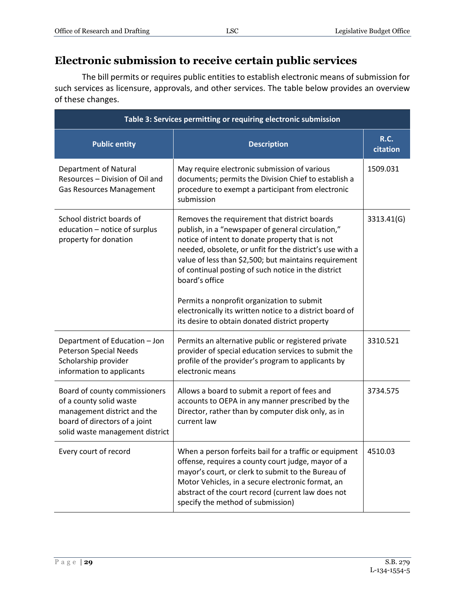## **Electronic submission to receive certain public services**

The bill permits or requires public entities to establish electronic means of submission for such services as licensure, approvals, and other services. The table below provides an overview of these changes.

| Table 3: Services permitting or requiring electronic submission                                                                                             |                                                                                                                                                                                                                                                                                                                                                    |                         |  |  |  |  |  |
|-------------------------------------------------------------------------------------------------------------------------------------------------------------|----------------------------------------------------------------------------------------------------------------------------------------------------------------------------------------------------------------------------------------------------------------------------------------------------------------------------------------------------|-------------------------|--|--|--|--|--|
| <b>Public entity</b>                                                                                                                                        | <b>Description</b>                                                                                                                                                                                                                                                                                                                                 | <b>R.C.</b><br>citation |  |  |  |  |  |
| <b>Department of Natural</b><br>Resources - Division of Oil and<br><b>Gas Resources Management</b>                                                          | May require electronic submission of various<br>documents; permits the Division Chief to establish a<br>procedure to exempt a participant from electronic<br>submission                                                                                                                                                                            | 1509.031                |  |  |  |  |  |
| School district boards of<br>education - notice of surplus<br>property for donation                                                                         | Removes the requirement that district boards<br>publish, in a "newspaper of general circulation,"<br>notice of intent to donate property that is not<br>needed, obsolete, or unfit for the district's use with a<br>value of less than \$2,500; but maintains requirement<br>of continual posting of such notice in the district<br>board's office | 3313.41(G)              |  |  |  |  |  |
|                                                                                                                                                             | Permits a nonprofit organization to submit<br>electronically its written notice to a district board of<br>its desire to obtain donated district property                                                                                                                                                                                           |                         |  |  |  |  |  |
| Department of Education - Jon<br><b>Peterson Special Needs</b><br>Scholarship provider<br>information to applicants                                         | Permits an alternative public or registered private<br>provider of special education services to submit the<br>profile of the provider's program to applicants by<br>electronic means                                                                                                                                                              | 3310.521                |  |  |  |  |  |
| Board of county commissioners<br>of a county solid waste<br>management district and the<br>board of directors of a joint<br>solid waste management district | Allows a board to submit a report of fees and<br>accounts to OEPA in any manner prescribed by the<br>Director, rather than by computer disk only, as in<br>current law                                                                                                                                                                             | 3734.575                |  |  |  |  |  |
| Every court of record                                                                                                                                       | When a person forfeits bail for a traffic or equipment  <br>offense, requires a county court judge, mayor of a<br>mayor's court, or clerk to submit to the Bureau of<br>Motor Vehicles, in a secure electronic format, an<br>abstract of the court record (current law does not<br>specify the method of submission)                               | 4510.03                 |  |  |  |  |  |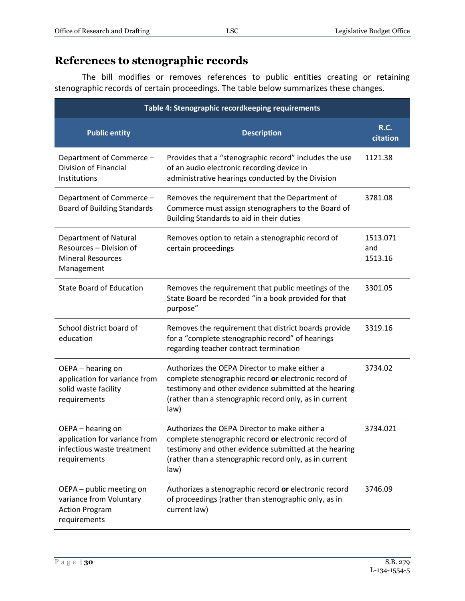# **References to stenographic records**

The bill modifies or removes references to public entities creating or retaining stenographic records of certain proceedings. The table below summarizes these changes.

| Table 4: Stenographic recordkeeping requirements                                                  |                                                                                                                                                                                                                                  |                            |  |  |  |  |  |
|---------------------------------------------------------------------------------------------------|----------------------------------------------------------------------------------------------------------------------------------------------------------------------------------------------------------------------------------|----------------------------|--|--|--|--|--|
| <b>Public entity</b>                                                                              | <b>Description</b>                                                                                                                                                                                                               | <b>R.C.</b><br>citation    |  |  |  |  |  |
| Department of Commerce -<br>Division of Financial<br>Institutions                                 | Provides that a "stenographic record" includes the use<br>of an audio electronic recording device in<br>administrative hearings conducted by the Division                                                                        | 1121.38                    |  |  |  |  |  |
| Department of Commerce -<br><b>Board of Building Standards</b>                                    | Removes the requirement that the Department of<br>Commerce must assign stenographers to the Board of<br>Building Standards to aid in their duties                                                                                | 3781.08                    |  |  |  |  |  |
| <b>Department of Natural</b><br>Resources - Division of<br><b>Mineral Resources</b><br>Management | Removes option to retain a stenographic record of<br>certain proceedings                                                                                                                                                         | 1513.071<br>and<br>1513.16 |  |  |  |  |  |
| <b>State Board of Education</b>                                                                   | Removes the requirement that public meetings of the<br>State Board be recorded "in a book provided for that<br>purpose"                                                                                                          | 3301.05                    |  |  |  |  |  |
| School district board of<br>education                                                             | Removes the requirement that district boards provide<br>for a "complete stenographic record" of hearings<br>regarding teacher contract termination                                                                               | 3319.16                    |  |  |  |  |  |
| OEPA - hearing on<br>application for variance from<br>solid waste facility<br>requirements        | Authorizes the OEPA Director to make either a<br>complete stenographic record or electronic record of<br>testimony and other evidence submitted at the hearing<br>(rather than a stenographic record only, as in current<br>law) | 3734.02                    |  |  |  |  |  |
| OEPA - hearing on<br>application for variance from<br>infectious waste treatment<br>requirements  | Authorizes the OEPA Director to make either a<br>complete stenographic record or electronic record of<br>testimony and other evidence submitted at the hearing<br>(rather than a stenographic record only, as in current<br>law) | 3734.021                   |  |  |  |  |  |
| OEPA - public meeting on<br>variance from Voluntary<br><b>Action Program</b><br>requirements      | Authorizes a stenographic record or electronic record<br>of proceedings (rather than stenographic only, as in<br>current law)                                                                                                    | 3746.09                    |  |  |  |  |  |